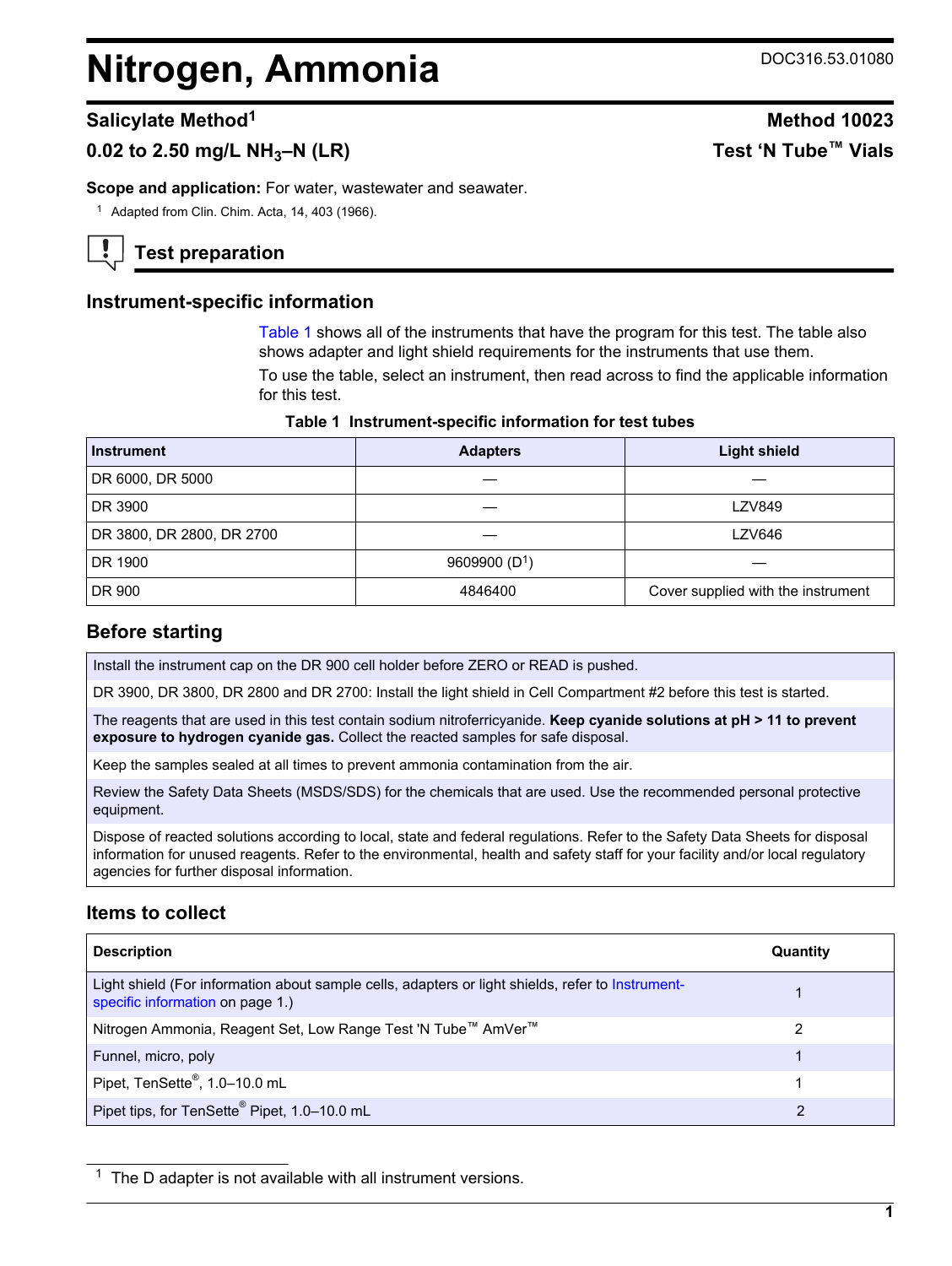# <span id="page-0-0"></span>**Nitrogen, Ammonia** DOC316.53.01080

# **0.02 to 2.50 mg/L NH3–N (LR) Test 'N Tube™ Vials**

**Scope and application:** For water, wastewater and seawater.

<sup>1</sup> Adapted from Clin. Chim. Acta, 14, 403 (1966).

**Test preparation**

# **Instrument-specific information**

Table 1 shows all of the instruments that have the program for this test. The table also shows adapter and light shield requirements for the instruments that use them.

To use the table, select an instrument, then read across to find the applicable information for this test.

|  | Table 1 Instrument-specific information for test tubes |  |  |
|--|--------------------------------------------------------|--|--|
|--|--------------------------------------------------------|--|--|

| <b>Instrument</b>         | <b>Adapters</b> | <b>Light shield</b>                |  |
|---------------------------|-----------------|------------------------------------|--|
| DR 6000, DR 5000          |                 |                                    |  |
| DR 3900                   |                 | <b>LZV849</b>                      |  |
| DR 3800, DR 2800, DR 2700 |                 | LZV646                             |  |
| DR 1900                   | 9609900 $(D1)$  |                                    |  |
| DR 900                    | 4846400         | Cover supplied with the instrument |  |

# **Before starting**

Install the instrument cap on the DR 900 cell holder before ZERO or READ is pushed.

DR 3900, DR 3800, DR 2800 and DR 2700: Install the light shield in Cell Compartment #2 before this test is started.

The reagents that are used in this test contain sodium nitroferricyanide. **Keep cyanide solutions at pH > 11 to prevent exposure to hydrogen cyanide gas.** Collect the reacted samples for safe disposal.

Keep the samples sealed at all times to prevent ammonia contamination from the air.

Review the Safety Data Sheets (MSDS/SDS) for the chemicals that are used. Use the recommended personal protective equipment.

Dispose of reacted solutions according to local, state and federal regulations. Refer to the Safety Data Sheets for disposal information for unused reagents. Refer to the environmental, health and safety staff for your facility and/or local regulatory agencies for further disposal information.

# **Items to collect**

| <b>Description</b>                                                                                                                    | Quantity |
|---------------------------------------------------------------------------------------------------------------------------------------|----------|
| Light shield (For information about sample cells, adapters or light shields, refer to Instrument-<br>specific information on page 1.) |          |
| Nitrogen Ammonia, Reagent Set, Low Range Test 'N Tube™ AmVer™                                                                         | 2        |
| Funnel, micro, poly                                                                                                                   |          |
| Pipet, TenSette®, 1.0-10.0 mL                                                                                                         |          |
| Pipet tips, for TenSette <sup>®</sup> Pipet, 1.0-10.0 mL                                                                              | 2        |

 $1$  The D adapter is not available with all instrument versions.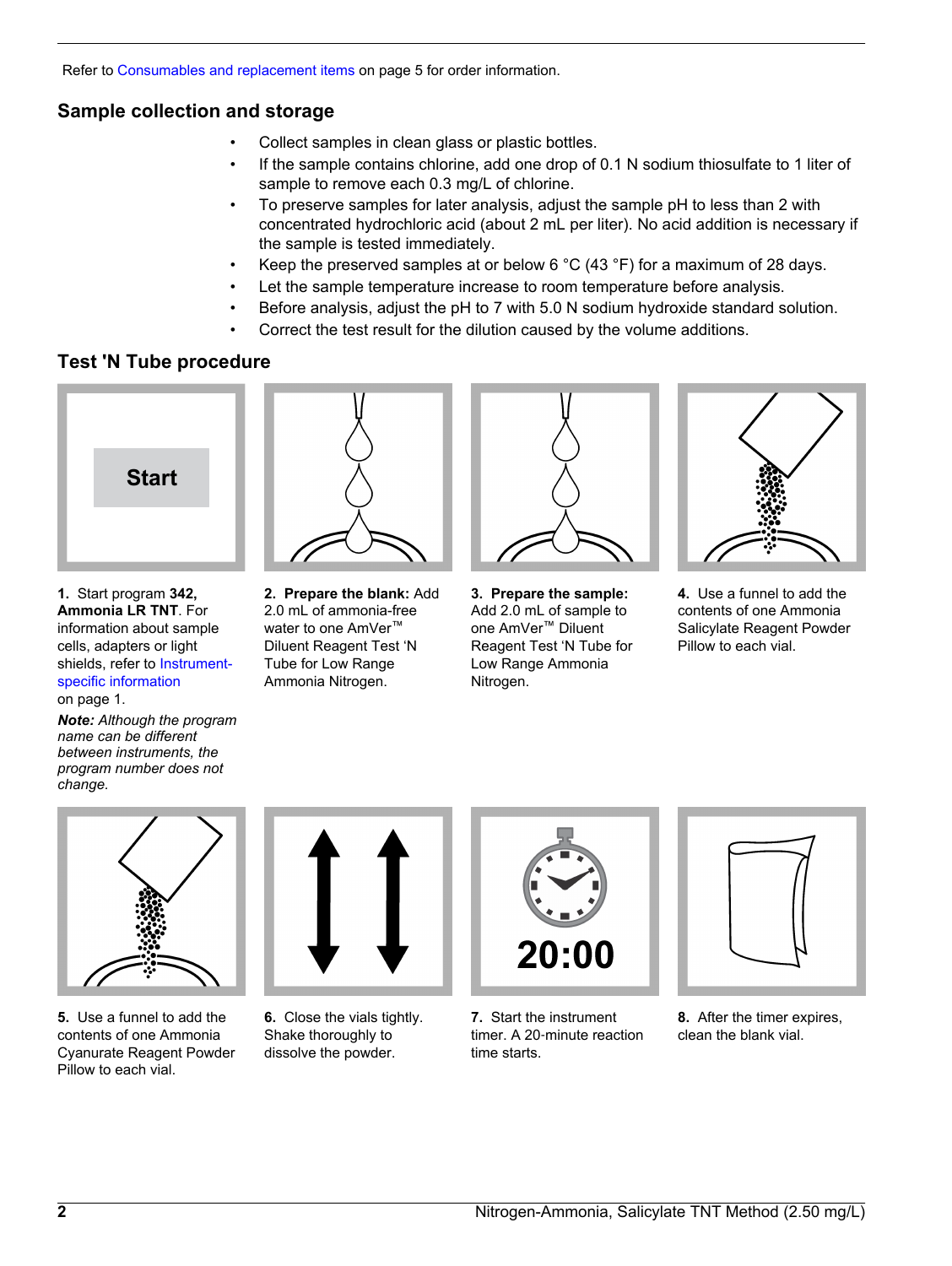Refer to [Consumables and replacement items](#page-4-0) on page 5 for order information.

# **Sample collection and storage**

- Collect samples in clean glass or plastic bottles.
- If the sample contains chlorine, add one drop of 0.1 N sodium thiosulfate to 1 liter of sample to remove each 0.3 mg/L of chlorine.
- To preserve samples for later analysis, adjust the sample pH to less than 2 with concentrated hydrochloric acid (about 2 mL per liter). No acid addition is necessary if the sample is tested immediately.
- Keep the preserved samples at or below 6  $^{\circ}$ C (43  $^{\circ}$ F) for a maximum of 28 days.
- Let the sample temperature increase to room temperature before analysis.
- Before analysis, adjust the pH to 7 with 5.0 N sodium hydroxide standard solution.
- Correct the test result for the dilution caused by the volume additions.

# **Test 'N Tube procedure**



**1.** Start program **342, Ammonia LR TNT**. For information about sample cells, adapters or light shields, refer to [Instrument](#page-0-0)[specific information](#page-0-0) on page 1.

*Note: Although the program name can be different between instruments, the program number does not change.*



**2. Prepare the blank:** Add 2.0 mL of ammonia-free water to one AmVer<sup>™</sup> Diluent Reagent Test 'N Tube for Low Range Ammonia Nitrogen.



**3. Prepare the sample:** Add 2.0 mL of sample to one AmVer™ Diluent Reagent Test 'N Tube for Low Range Ammonia Nitrogen.



**4.** Use a funnel to add the contents of one Ammonia Salicylate Reagent Powder Pillow to each vial.



**5.** Use a funnel to add the contents of one Ammonia Cyanurate Reagent Powder Pillow to each vial.



**6.** Close the vials tightly. Shake thoroughly to dissolve the powder.



**7.** Start the instrument timer. A 20‑minute reaction time starts.



**8.** After the timer expires, clean the blank vial.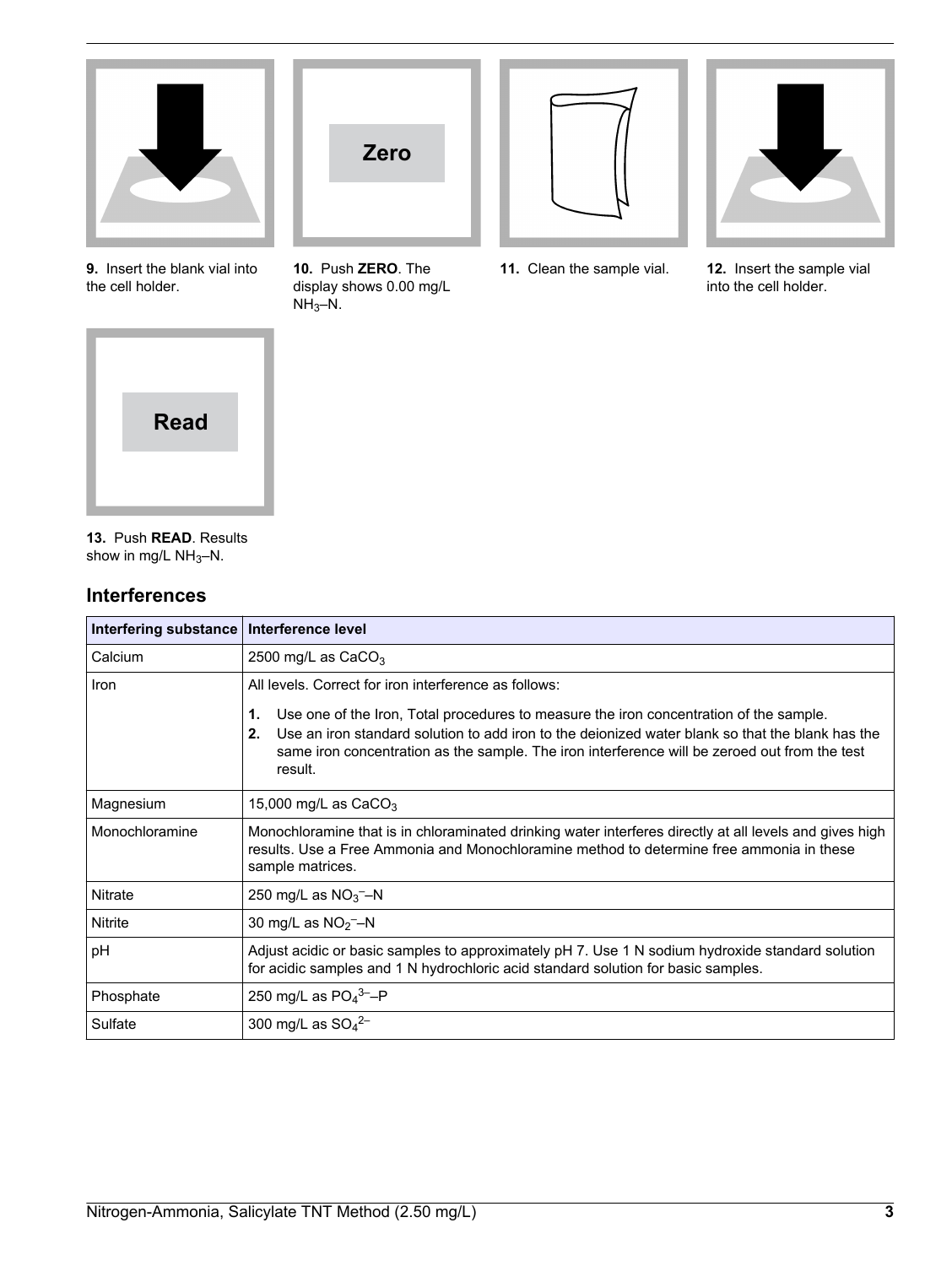

**9.** Insert the blank vial into the cell holder.



**10.** Push **ZERO**. The display shows 0.00 mg/L  $NH<sub>3</sub>-N.$ 



**11.** Clean the sample vial. **12.** Insert the sample vial



into the cell holder.



**13.** Push **READ**. Results show in mg/L  $NH_3-N$ .

# **Interferences**

| Interfering substance   Interference level |                                                                                                                                                                                                                                                                                                                    |
|--------------------------------------------|--------------------------------------------------------------------------------------------------------------------------------------------------------------------------------------------------------------------------------------------------------------------------------------------------------------------|
| Calcium                                    | 2500 mg/L as $CaCO3$                                                                                                                                                                                                                                                                                               |
| Iron                                       | All levels. Correct for iron interference as follows:                                                                                                                                                                                                                                                              |
|                                            | 1.<br>Use one of the Iron, Total procedures to measure the iron concentration of the sample.<br>2.<br>Use an iron standard solution to add iron to the deionized water blank so that the blank has the<br>same iron concentration as the sample. The iron interference will be zeroed out from the test<br>result. |
| Magnesium                                  | 15,000 mg/L as $CaCO3$                                                                                                                                                                                                                                                                                             |
| Monochloramine                             | Monochloramine that is in chloraminated drinking water interferes directly at all levels and gives high<br>results. Use a Free Ammonia and Monochloramine method to determine free ammonia in these<br>sample matrices.                                                                                            |
| Nitrate                                    | 250 mg/L as $NO_3$ <sup>-</sup> -N                                                                                                                                                                                                                                                                                 |
| Nitrite                                    | 30 mg/L as $NO2$ –N                                                                                                                                                                                                                                                                                                |
| pH                                         | Adjust acidic or basic samples to approximately pH 7. Use 1 N sodium hydroxide standard solution<br>for acidic samples and 1 N hydrochloric acid standard solution for basic samples.                                                                                                                              |
| Phosphate                                  | 250 mg/L as $PO_4^3$ -P                                                                                                                                                                                                                                                                                            |
| Sulfate                                    | 300 mg/L as $SO_4^{2-}$                                                                                                                                                                                                                                                                                            |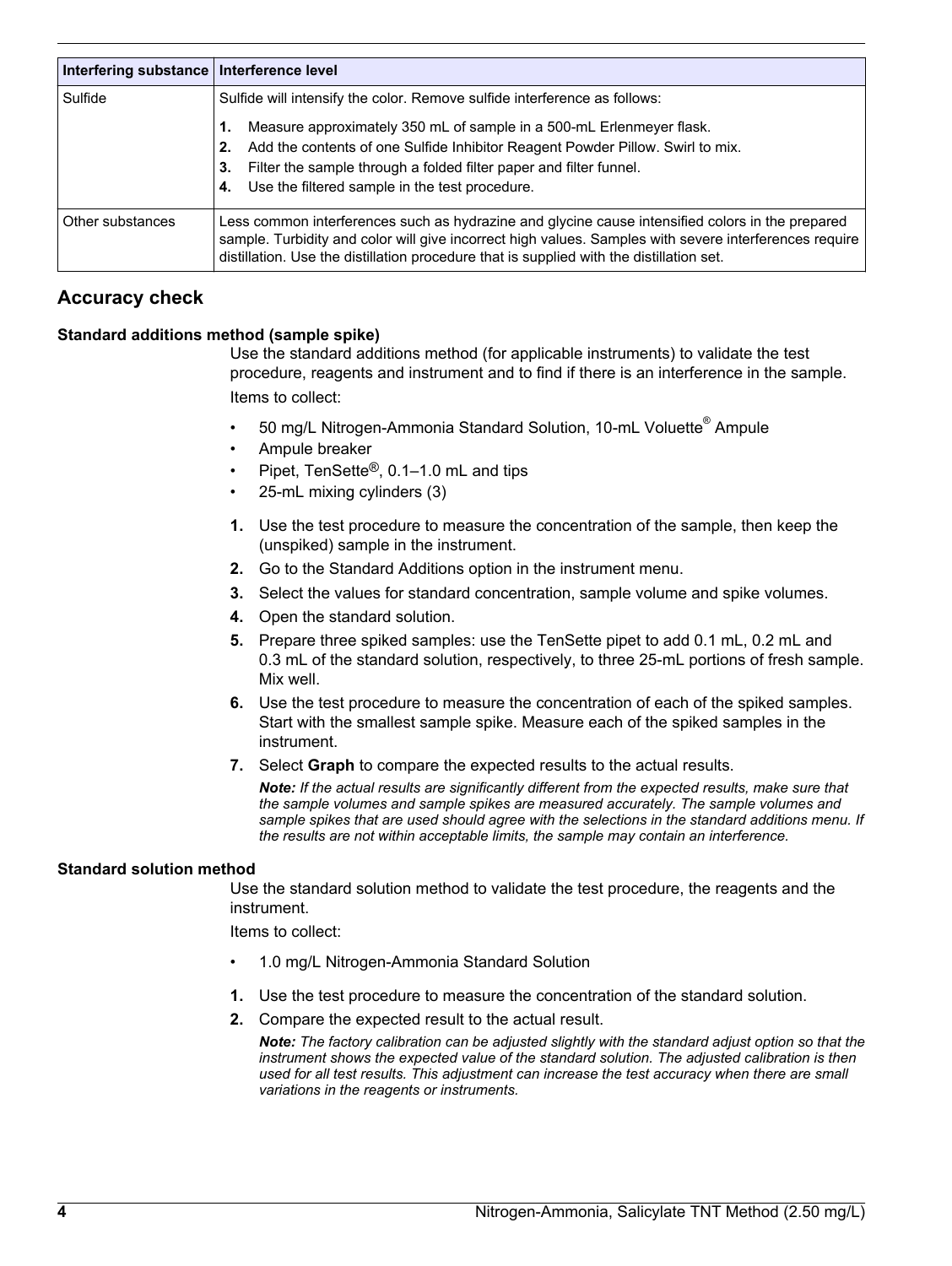| Interfering substance   Interference level |                                                                                                                                                                                                                                                                                                        |
|--------------------------------------------|--------------------------------------------------------------------------------------------------------------------------------------------------------------------------------------------------------------------------------------------------------------------------------------------------------|
| Sulfide                                    | Sulfide will intensify the color. Remove sulfide interference as follows:                                                                                                                                                                                                                              |
|                                            | Measure approximately 350 mL of sample in a 500-mL Erlenmeyer flask.                                                                                                                                                                                                                                   |
|                                            | Add the contents of one Sulfide Inhibitor Reagent Powder Pillow. Swirl to mix.<br>2.                                                                                                                                                                                                                   |
|                                            | Filter the sample through a folded filter paper and filter funnel.<br>3.                                                                                                                                                                                                                               |
|                                            | Use the filtered sample in the test procedure.<br>4.                                                                                                                                                                                                                                                   |
| Other substances                           | Less common interferences such as hydrazine and glycine cause intensified colors in the prepared<br>sample. Turbidity and color will give incorrect high values. Samples with severe interferences require<br>distillation. Use the distillation procedure that is supplied with the distillation set. |

# **Accuracy check**

### **Standard additions method (sample spike)**

Use the standard additions method (for applicable instruments) to validate the test procedure, reagents and instrument and to find if there is an interference in the sample. Items to collect:

- 50 mg/L Nitrogen-Ammonia Standard Solution, 10-mL Voluette® Ampule
- Ampule breaker
- Pipet, TenSette®, 0.1–1.0 mL and tips
- 25-mL mixing cylinders (3)
- **1.** Use the test procedure to measure the concentration of the sample, then keep the (unspiked) sample in the instrument.
- **2.** Go to the Standard Additions option in the instrument menu.
- **3.** Select the values for standard concentration, sample volume and spike volumes.
- **4.** Open the standard solution.
- **5.** Prepare three spiked samples: use the TenSette pipet to add 0.1 mL, 0.2 mL and 0.3 mL of the standard solution, respectively, to three 25-mL portions of fresh sample. Mix well.
- **6.** Use the test procedure to measure the concentration of each of the spiked samples. Start with the smallest sample spike. Measure each of the spiked samples in the instrument.
- **7.** Select **Graph** to compare the expected results to the actual results.

*Note: If the actual results are significantly different from the expected results, make sure that the sample volumes and sample spikes are measured accurately. The sample volumes and sample spikes that are used should agree with the selections in the standard additions menu. If the results are not within acceptable limits, the sample may contain an interference.*

#### **Standard solution method**

Use the standard solution method to validate the test procedure, the reagents and the instrument.

Items to collect:

- 1.0 mg/L Nitrogen-Ammonia Standard Solution
- **1.** Use the test procedure to measure the concentration of the standard solution.
- **2.** Compare the expected result to the actual result.

*Note: The factory calibration can be adjusted slightly with the standard adjust option so that the instrument shows the expected value of the standard solution. The adjusted calibration is then used for all test results. This adjustment can increase the test accuracy when there are small variations in the reagents or instruments.*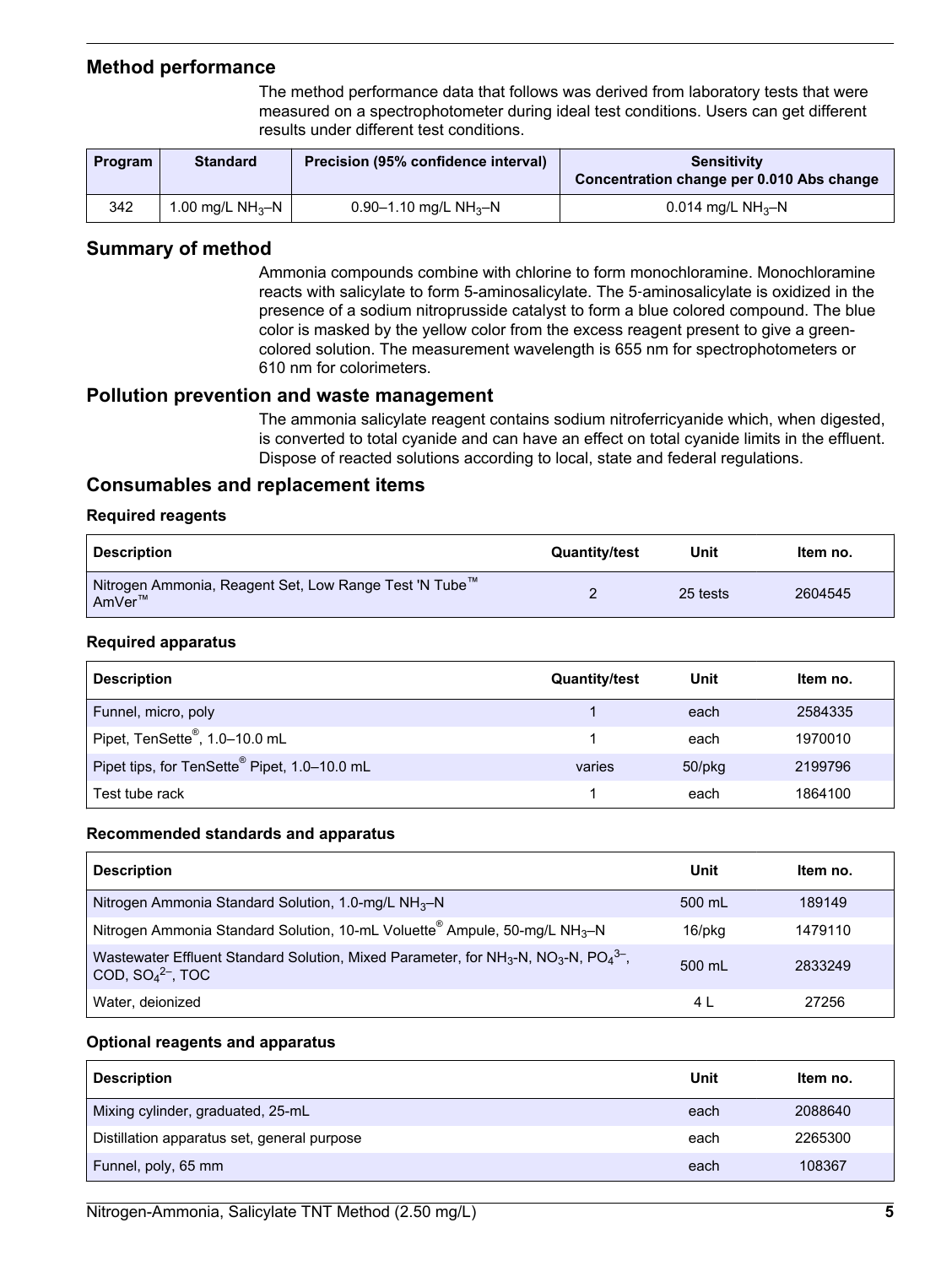# <span id="page-4-0"></span>**Method performance**

The method performance data that follows was derived from laboratory tests that were measured on a spectrophotometer during ideal test conditions. Users can get different results under different test conditions.

| Program | <b>Standard</b>              | Precision (95% confidence interval) | Sensitivity<br>Concentration change per 0.010 Abs change |
|---------|------------------------------|-------------------------------------|----------------------------------------------------------|
| 342     | 1.00 mg/L NH <sub>3</sub> -N | 0.90–1.10 mg/L NH <sub>3</sub> –N   | 0.014 mg/L NH <sub>3</sub> -N                            |

# **Summary of method**

Ammonia compounds combine with chlorine to form monochloramine. Monochloramine reacts with salicylate to form 5-aminosalicylate. The 5‑aminosalicylate is oxidized in the presence of a sodium nitroprusside catalyst to form a blue colored compound. The blue color is masked by the yellow color from the excess reagent present to give a greencolored solution. The measurement wavelength is 655 nm for spectrophotometers or 610 nm for colorimeters.

## **Pollution prevention and waste management**

The ammonia salicylate reagent contains sodium nitroferricyanide which, when digested, is converted to total cyanide and can have an effect on total cyanide limits in the effluent. Dispose of reacted solutions according to local, state and federal regulations.

# **Consumables and replacement items**

### **Required reagents**

| <b>Description</b>                                                            | <b>Quantity/test</b> | Unit     | Item no. |
|-------------------------------------------------------------------------------|----------------------|----------|----------|
| <sup>1</sup> Nitrogen Ammonia, Reagent Set, Low Range Test 'N Tube™<br>AmVer™ |                      | 25 tests | 2604545  |

### **Required apparatus**

| <b>Description</b>                                       | <b>Quantity/test</b> | Unit         | Item no. |
|----------------------------------------------------------|----------------------|--------------|----------|
| Funnel, micro, poly                                      |                      | each         | 2584335  |
| Pipet, TenSette <sup>®</sup> , 1.0-10.0 mL               |                      | each         | 1970010  |
| Pipet tips, for TenSette <sup>®</sup> Pipet, 1.0-10.0 mL | varies               | $50$ /p $kg$ | 2199796  |
| Test tube rack                                           |                      | each         | 1864100  |

#### **Recommended standards and apparatus**

| <b>Description</b>                                                                                              | Unit   | Item no. |
|-----------------------------------------------------------------------------------------------------------------|--------|----------|
| Nitrogen Ammonia Standard Solution, 1.0-mg/L $NH3-N$                                                            | 500 mL | 189149   |
| Nitrogen Ammonia Standard Solution, 10-mL Voluette <sup>®</sup> Ampule, 50-mg/L NH <sub>3</sub> -N              | 16/pkg | 1479110  |
| Wastewater Effluent Standard Solution, Mixed Parameter, for $NH3-N$ , $NO3-N$ , $PO43-$ ,<br>COD, $SO42-$ , TOC | 500 mL | 2833249  |
| Water, deionized                                                                                                | 4 L    | 27256    |

#### **Optional reagents and apparatus**

| <b>Description</b>                          | Unit | Item no. |
|---------------------------------------------|------|----------|
| Mixing cylinder, graduated, 25-mL           | each | 2088640  |
| Distillation apparatus set, general purpose | each | 2265300  |
| Funnel, poly, 65 mm                         | each | 108367   |